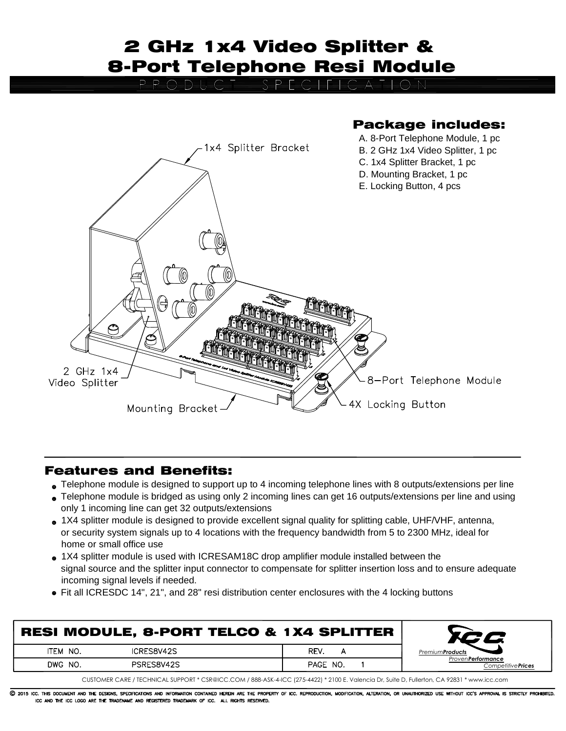## 2 GHz 1x4 Video Splitter & 8-Port Telephone Resi Module

O=B=E=C

Package includes:

## A. 8-Port Telephone Module, 1 pc 1x4 Splitter Bracket B. 2 GHz 1x4 Video Splitter, 1 pc C. 1x4 Splitter Bracket, 1 pc D. Mounting Bracket, 1 pc E. Locking Button, 4 pcs 2 GHz 1x4 8-Port Telephone Module Video Splitter 4X Locking Button Mounting Bracket

## Features and Benefits:

- Telephone module is designed to support up to 4 incoming telephone lines with 8 outputs/extensions per line
- Telephone module is bridged as using only 2 incoming lines can get 16 outputs/extensions per line and using only 1 incoming line can get 32 outputs/extensions
- 1X4 splitter module is designed to provide excellent signal quality for splitting cable, UHF/VHF, antenna, or security system signals up to 4 locations with the frequency bandwidth from 5 to 2300 MHz, ideal for home or small office use
- 1X4 splitter module is used with ICRESAM18C drop amplifier module installed between the signal source and the splitter input connector to compensate for splitter insertion loss and to ensure adequate incoming signal levels if needed.
- Fit all ICRESDC 14", 21", and 28" resi distribution center enclosures with the 4 locking buttons

| <b>RESI MODULE, 8-PORT TELCO &amp; 1X4 SPLITTER</b> |            |          |                                                        |  |  |  |  |
|-----------------------------------------------------|------------|----------|--------------------------------------------------------|--|--|--|--|
| ITEM NO.                                            | ICRES8V42S | REV.     | <b>PremiumProducts</b>                                 |  |  |  |  |
| DWG NO.                                             | PSRES8V42S | PAGE NO. | <b>Proven Performance</b><br>Competitive <b>Prices</b> |  |  |  |  |
| ---------                                           |            |          |                                                        |  |  |  |  |

CUSTOMER CARE / TECHNICAL SUPPORT \* CSR@ICC.COM / 888-ASK-4-ICC (275-4422) \* 2100 E. Valencia Dr, Suite D, Fullerton, CA 92831 \* www.icc.com

C 2015 ICC. THIS DOCUMENT AND THE DESIGNS, SPECIFICATIONS AND INFORMATION CONTAINED HEREIN ARE THE PROPERTY OF ICC. REPRODUCTION, MODIFICATION, ALTERATION, OR UNAUTHORIZED USE WITHOUT ICC'S APPROVAL IS STRICTLY PROHIBITED. ICC AND THE ICC LOGO ARE THE TRADENAME AND REGISTERED TRADEMARK OF ICC. ALL RIGHTS RESERVED.